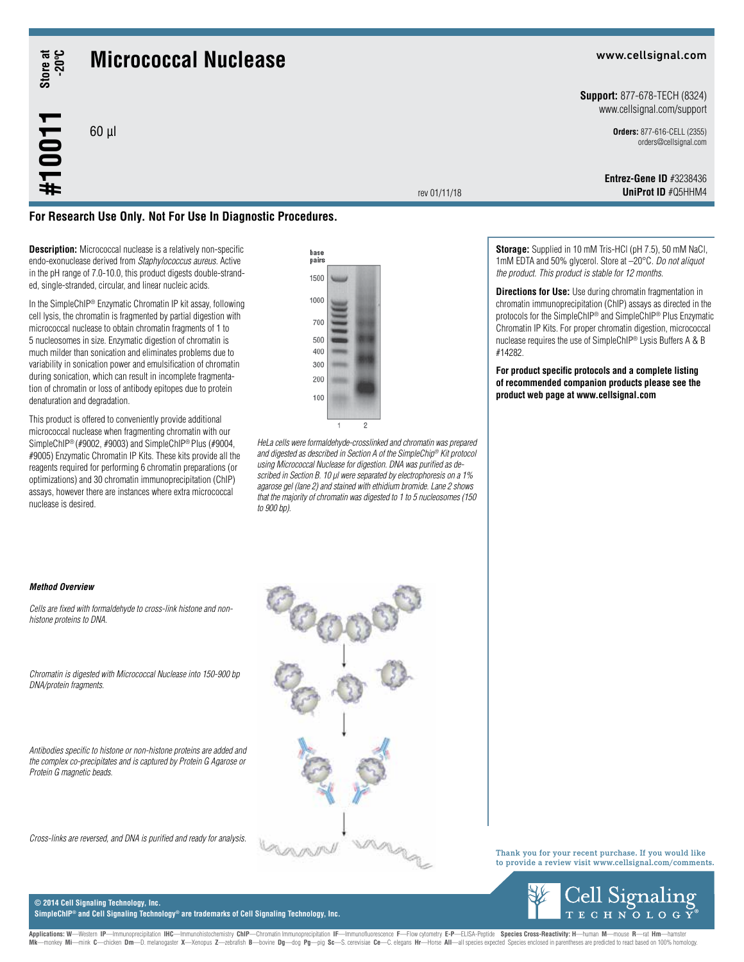# **Store at -20ºC**

**#10011**

## **Micrococcal Nuclease**

60 µl

#### www.cellsignal.com

**Support:** 877-678-TECH (8324) www.cellsignal.com/support

> **Orders:** 877-616-CELL (2355) orders@cellsignal.com

rev 01/11/18

**UniProt ID** #Q5HHM4 **Entrez-Gene ID** #3238436



**Description:** Micrococcal nuclease is a relatively non-specific endo-exonuclease derived from *Staphylococcus aureus.* Active in the pH range of 7.0-10.0, this product digests double-stranded, single-stranded, circular, and linear nucleic acids.

In the SimpleChIP® Enzymatic Chromatin IP kit assay, following cell lysis, the chromatin is fragmented by partial digestion with micrococcal nuclease to obtain chromatin fragments of 1 to 5 nucleosomes in size. Enzymatic digestion of chromatin is much milder than sonication and eliminates problems due to variability in sonication power and emulsification of chromatin during sonication, which can result in incomplete fragmentation of chromatin or loss of antibody epitopes due to protein denaturation and degradation.

This product is offered to conveniently provide additional micrococcal nuclease when fragmenting chromatin with our SimpleChIP® (#9002, #9003) and SimpleChIP® Plus (#9004, #9005) Enzymatic Chromatin IP Kits. These kits provide all the reagents required for performing 6 chromatin preparations (or optimizations) and 30 chromatin immunoprecipitation (ChIP) assays, however there are instances where extra micrococcal nuclease is desired.



*HeLa cells were formaldehyde-crosslinked and chromatin was prepared and digested as described in Section A of the SimpleChip® Kit protocol using Micrococcal Nuclease for digestion. DNA was purified as described in Section B. 10 μl were separated by electrophoresis on a 1% agarose gel (lane 2) and stained with ethidium bromide. Lane 2 shows that the majority of chromatin was digested to 1 to 5 nucleosomes (150 to 900 bp).*

**Storage:** Supplied in 10 mM Tris-HCl (pH 7.5), 50 mM NaCl, 1mM EDTA and 50% glycerol. Store at –20°C. *Do not aliquot the product. This product is stable for 12 months*.

**Directions for Use:** Use during chromatin fragmentation in chromatin immunoprecipitation (ChIP) assays as directed in the protocols for the SimpleChIP® and SimpleChIP® Plus Enzymatic Chromatin IP Kits. For proper chromatin digestion, micrococcal nuclease requires the use of SimpleChIP® Lysis Buffers A & B #14282.

**For product specific protocols and a complete listing of recommended companion products please see the product web page at www.cellsignal.com**

#### *Method Overview*

*Cells are fixed with formaldehyde to cross-link histone and nonhistone proteins to DNA.*

*Chromatin is digested with Micrococcal Nuclease into 150-900 bp DNA/protein fragments.*

*Antibodies specific to histone or non-histone proteins are added and the complex co-precipitates and is captured by Protein G Agarose or Protein G magnetic beads.*

*Cross-links are reversed, and DNA is purified and ready for analysis.*



Thank you for your recent purchase. If you would like to provide a review visit www.cellsignal.com/comments.



**© 2014 Cell Signaling Technology, Inc. SimpleChIP® and Cell Signaling Technology® are trademarks of Cell Signaling Technology, Inc.**

Applications: W—Western IP—Immunoprecipitation IHC—Immunohistochemistry ChIP—Chromatin Immunoprecipitation IF—Immunofluorescence F—Flow cytometry E-P—ELISA-Peptide Species Cross-Reactivity: H—Iuman M—mouse R—rat Hm—hamster